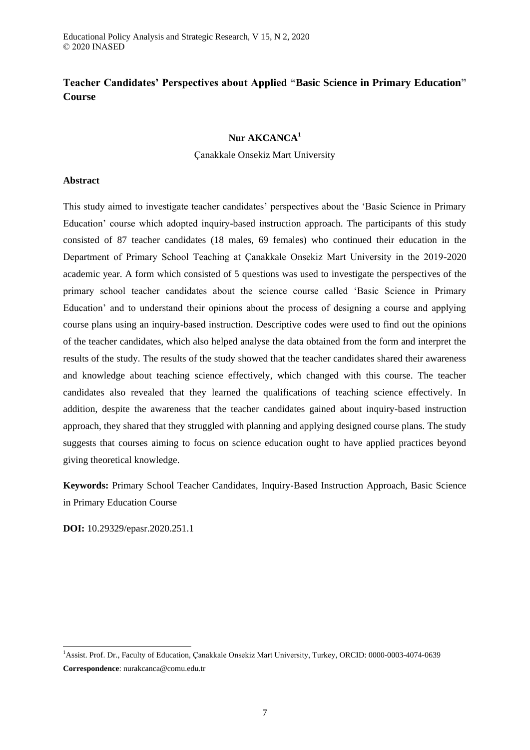# **Teacher Candidates' Perspectives about Applied "Basic Science in Primary Education" Course**

# **Nur AKCANCA<sup>1</sup>**

# Çanakkale Onsekiz Mart University

# **Abstract**

This study aimed to investigate teacher candidates' perspectives about the 'Basic Science in Primary Education' course which adopted inquiry-based instruction approach. The participants of this study consisted of 87 teacher candidates (18 males, 69 females) who continued their education in the Department of Primary School Teaching at Çanakkale Onsekiz Mart University in the 2019-2020 academic year. A form which consisted of 5 questions was used to investigate the perspectives of the primary school teacher candidates about the science course called 'Basic Science in Primary Education' and to understand their opinions about the process of designing a course and applying course plans using an inquiry-based instruction. Descriptive codes were used to find out the opinions of the teacher candidates, which also helped analyse the data obtained from the form and interpret the results of the study. The results of the study showed that the teacher candidates shared their awareness and knowledge about teaching science effectively, which changed with this course. The teacher candidates also revealed that they learned the qualifications of teaching science effectively. In addition, despite the awareness that the teacher candidates gained about inquiry-based instruction approach, they shared that they struggled with planning and applying designed course plans. The study suggests that courses aiming to focus on science education ought to have applied practices beyond giving theoretical knowledge.

**Keywords:** Primary School Teacher Candidates, Inquiry-Based Instruction Approach, Basic Science in Primary Education Course

**DOI:** 10.29329/epasr.2020.251.1

-

<sup>1</sup>Assist. Prof. Dr., Faculty of Education, Çanakkale Onsekiz Mart University, Turkey, ORCID: 0000-0003-4074-0639 **Correspondence**: nurakcanca@comu.edu.tr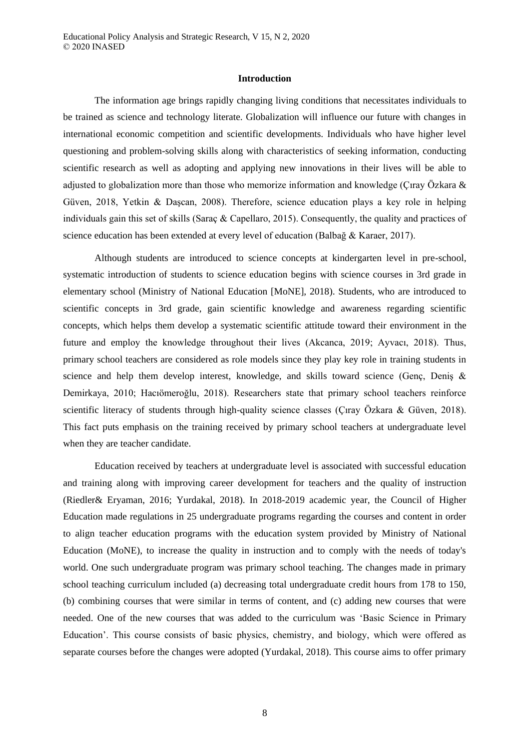#### **Introduction**

The information age brings rapidly changing living conditions that necessitates individuals to be trained as science and technology literate. Globalization will influence our future with changes in international economic competition and scientific developments. Individuals who have higher level questioning and problem-solving skills along with characteristics of seeking information, conducting scientific research as well as adopting and applying new innovations in their lives will be able to adjusted to globalization more than those who memorize information and knowledge (Çıray Özkara & Güven, 2018, Yetkin & Daşcan, 2008). Therefore, science education plays a key role in helping individuals gain this set of skills (Saraç & Capellaro, 2015). Consequently, the quality and practices of science education has been extended at every level of education (Balbağ & Karaer, 2017).

Although students are introduced to science concepts at kindergarten level in pre-school, systematic introduction of students to science education begins with science courses in 3rd grade in elementary school (Ministry of National Education [MoNE], 2018). Students, who are introduced to scientific concepts in 3rd grade, gain scientific knowledge and awareness regarding scientific concepts, which helps them develop a systematic scientific attitude toward their environment in the future and employ the knowledge throughout their lives (Akcanca, 2019; Ayvacı, 2018). Thus, primary school teachers are considered as role models since they play key role in training students in science and help them develop interest, knowledge, and skills toward science (Genç, Deniş & Demirkaya, 2010; Hacıömeroğlu, 2018). Researchers state that primary school teachers reinforce scientific literacy of students through high-quality science classes (Çıray Özkara & Güven, 2018). This fact puts emphasis on the training received by primary school teachers at undergraduate level when they are teacher candidate.

Education received by teachers at undergraduate level is associated with successful education and training along with improving career development for teachers and the quality of instruction (Riedler& Eryaman, 2016; Yurdakal, 2018). In 2018-2019 academic year, the Council of Higher Education made regulations in 25 undergraduate programs regarding the courses and content in order to align teacher education programs with the education system provided by Ministry of National Education (MoNE), to increase the quality in instruction and to comply with the needs of today's world. One such undergraduate program was primary school teaching. The changes made in primary school teaching curriculum included (a) decreasing total undergraduate credit hours from 178 to 150, (b) combining courses that were similar in terms of content, and (c) adding new courses that were needed. One of the new courses that was added to the curriculum was 'Basic Science in Primary Education'. This course consists of basic physics, chemistry, and biology, which were offered as separate courses before the changes were adopted (Yurdakal, 2018). This course aims to offer primary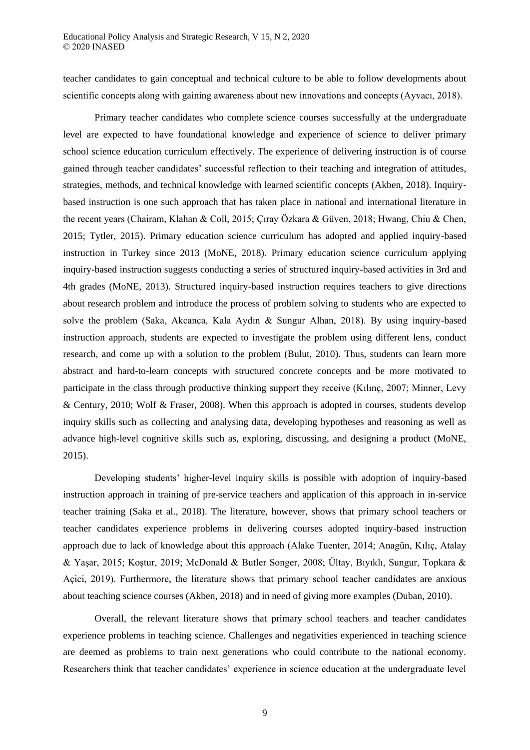teacher candidates to gain conceptual and technical culture to be able to follow developments about scientific concepts along with gaining awareness about new innovations and concepts (Ayvacı, 2018).

Primary teacher candidates who complete science courses successfully at the undergraduate level are expected to have foundational knowledge and experience of science to deliver primary school science education curriculum effectively. The experience of delivering instruction is of course gained through teacher candidates' successful reflection to their teaching and integration of attitudes, strategies, methods, and technical knowledge with learned scientific concepts (Akben, 2018). Inquirybased instruction is one such approach that has taken place in national and international literature in the recent years (Chairam, Klahan & Coll, 2015; Çıray Özkara & Güven, 2018; Hwang, Chiu & Chen, 2015; Tytler, 2015). Primary education science curriculum has adopted and applied inquiry-based instruction in Turkey since 2013 (MoNE, 2018). Primary education science curriculum applying inquiry-based instruction suggests conducting a series of structured inquiry-based activities in 3rd and 4th grades (MoNE, 2013). Structured inquiry-based instruction requires teachers to give directions about research problem and introduce the process of problem solving to students who are expected to solve the problem (Saka, Akcanca, Kala Aydın & Sungur Alhan, 2018). By using inquiry-based instruction approach, students are expected to investigate the problem using different lens, conduct research, and come up with a solution to the problem (Bulut, 2010). Thus, students can learn more abstract and hard-to-learn concepts with structured concrete concepts and be more motivated to participate in the class through productive thinking support they receive (Kılınç, 2007; Minner, Levy & Century, 2010; Wolf & Fraser, 2008). When this approach is adopted in courses, students develop inquiry skills such as collecting and analysing data, developing hypotheses and reasoning as well as advance high-level cognitive skills such as, exploring, discussing, and designing a product (MoNE, 2015).

Developing students' higher-level inquiry skills is possible with adoption of inquiry-based instruction approach in training of pre-service teachers and application of this approach in in-service teacher training (Saka et al., 2018). The literature, however, shows that primary school teachers or teacher candidates experience problems in delivering courses adopted inquiry-based instruction approach due to lack of knowledge about this approach (Alake Tuenter, 2014; Anagün, Kılıç, Atalay & Yaşar, 2015; Koştur, 2019; McDonald & Butler Songer, 2008; Ültay, Bıyıklı, Sungur, Topkara & Açici, 2019). Furthermore, the literature shows that primary school teacher candidates are anxious about teaching science courses (Akben, 2018) and in need of giving more examples (Duban, 2010).

Overall, the relevant literature shows that primary school teachers and teacher candidates experience problems in teaching science. Challenges and negativities experienced in teaching science are deemed as problems to train next generations who could contribute to the national economy. Researchers think that teacher candidates' experience in science education at the undergraduate level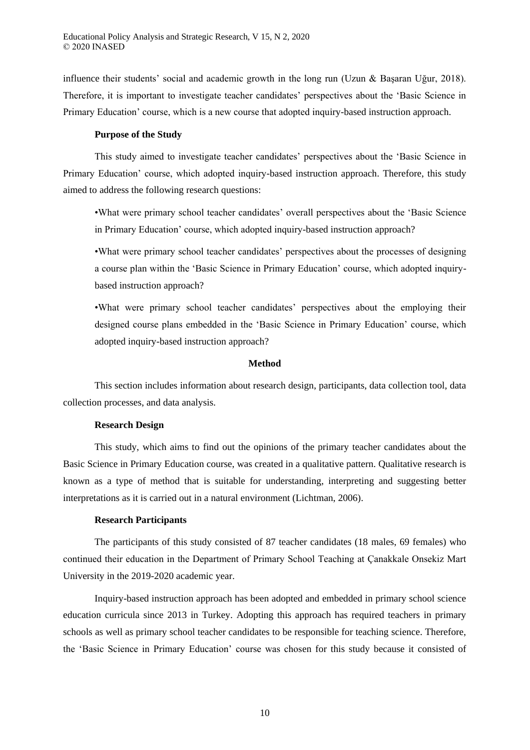influence their students' social and academic growth in the long run (Uzun & Başaran Uğur, 2018). Therefore, it is important to investigate teacher candidates' perspectives about the 'Basic Science in Primary Education' course, which is a new course that adopted inquiry-based instruction approach.

## **Purpose of the Study**

This study aimed to investigate teacher candidates' perspectives about the 'Basic Science in Primary Education' course, which adopted inquiry-based instruction approach. Therefore, this study aimed to address the following research questions:

•What were primary school teacher candidates' overall perspectives about the 'Basic Science in Primary Education' course, which adopted inquiry-based instruction approach?

•What were primary school teacher candidates' perspectives about the processes of designing a course plan within the 'Basic Science in Primary Education' course, which adopted inquirybased instruction approach?

•What were primary school teacher candidates' perspectives about the employing their designed course plans embedded in the 'Basic Science in Primary Education' course, which adopted inquiry-based instruction approach?

#### **Method**

This section includes information about research design, participants, data collection tool, data collection processes, and data analysis.

## **Research Design**

This study, which aims to find out the opinions of the primary teacher candidates about the Basic Science in Primary Education course, was created in a qualitative pattern. Qualitative research is known as a type of method that is suitable for understanding, interpreting and suggesting better interpretations as it is carried out in a natural environment (Lichtman, 2006).

## **Research Participants**

The participants of this study consisted of 87 teacher candidates (18 males, 69 females) who continued their education in the Department of Primary School Teaching at Çanakkale Onsekiz Mart University in the 2019-2020 academic year.

Inquiry-based instruction approach has been adopted and embedded in primary school science education curricula since 2013 in Turkey. Adopting this approach has required teachers in primary schools as well as primary school teacher candidates to be responsible for teaching science. Therefore, the 'Basic Science in Primary Education' course was chosen for this study because it consisted of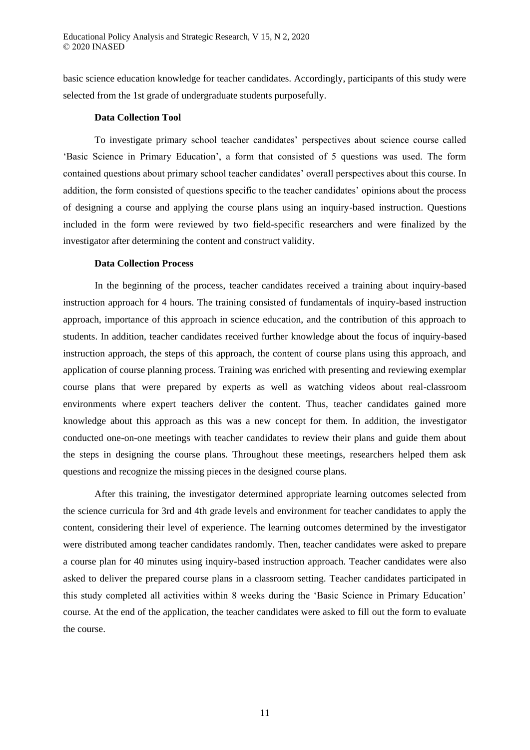basic science education knowledge for teacher candidates. Accordingly, participants of this study were selected from the 1st grade of undergraduate students purposefully.

## **Data Collection Tool**

To investigate primary school teacher candidates' perspectives about science course called 'Basic Science in Primary Education', a form that consisted of 5 questions was used. The form contained questions about primary school teacher candidates' overall perspectives about this course. In addition, the form consisted of questions specific to the teacher candidates' opinions about the process of designing a course and applying the course plans using an inquiry-based instruction. Questions included in the form were reviewed by two field-specific researchers and were finalized by the investigator after determining the content and construct validity.

## **Data Collection Process**

In the beginning of the process, teacher candidates received a training about inquiry-based instruction approach for 4 hours. The training consisted of fundamentals of inquiry-based instruction approach, importance of this approach in science education, and the contribution of this approach to students. In addition, teacher candidates received further knowledge about the focus of inquiry-based instruction approach, the steps of this approach, the content of course plans using this approach, and application of course planning process. Training was enriched with presenting and reviewing exemplar course plans that were prepared by experts as well as watching videos about real-classroom environments where expert teachers deliver the content. Thus, teacher candidates gained more knowledge about this approach as this was a new concept for them. In addition, the investigator conducted one-on-one meetings with teacher candidates to review their plans and guide them about the steps in designing the course plans. Throughout these meetings, researchers helped them ask questions and recognize the missing pieces in the designed course plans.

After this training, the investigator determined appropriate learning outcomes selected from the science curricula for 3rd and 4th grade levels and environment for teacher candidates to apply the content, considering their level of experience. The learning outcomes determined by the investigator were distributed among teacher candidates randomly. Then, teacher candidates were asked to prepare a course plan for 40 minutes using inquiry-based instruction approach. Teacher candidates were also asked to deliver the prepared course plans in a classroom setting. Teacher candidates participated in this study completed all activities within 8 weeks during the 'Basic Science in Primary Education' course. At the end of the application, the teacher candidates were asked to fill out the form to evaluate the course.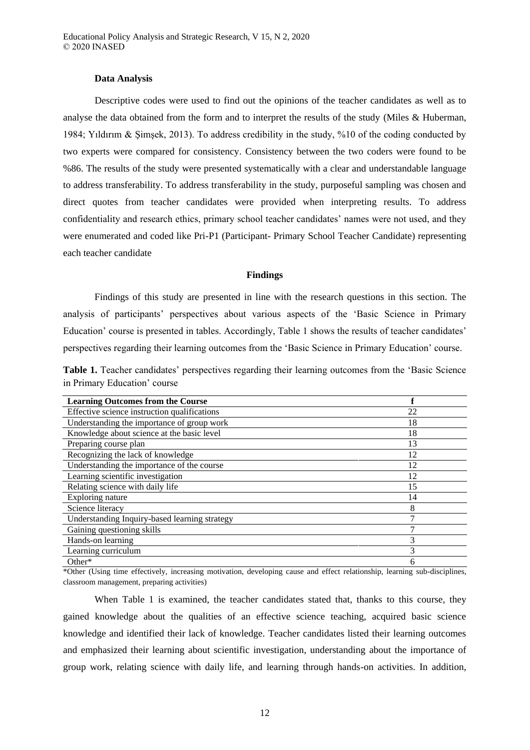#### **Data Analysis**

Descriptive codes were used to find out the opinions of the teacher candidates as well as to analyse the data obtained from the form and to interpret the results of the study (Miles & Huberman, 1984; Yıldırım & Şimşek, 2013). To address credibility in the study, %10 of the coding conducted by two experts were compared for consistency. Consistency between the two coders were found to be %86. The results of the study were presented systematically with a clear and understandable language to address transferability. To address transferability in the study, purposeful sampling was chosen and direct quotes from teacher candidates were provided when interpreting results. To address confidentiality and research ethics, primary school teacher candidates' names were not used, and they were enumerated and coded like Pri-P1 (Participant- Primary School Teacher Candidate) representing each teacher candidate

#### **Findings**

Findings of this study are presented in line with the research questions in this section. The analysis of participants' perspectives about various aspects of the 'Basic Science in Primary Education' course is presented in tables. Accordingly, Table 1 shows the results of teacher candidates' perspectives regarding their learning outcomes from the 'Basic Science in Primary Education' course.

**Table 1.** Teacher candidates' perspectives regarding their learning outcomes from the 'Basic Science in Primary Education' course

| <b>Learning Outcomes from the Course</b>      |    |
|-----------------------------------------------|----|
| Effective science instruction qualifications  | 22 |
| Understanding the importance of group work    | 18 |
| Knowledge about science at the basic level    | 18 |
| Preparing course plan                         | 13 |
| Recognizing the lack of knowledge             | 12 |
| Understanding the importance of the course    | 12 |
| Learning scientific investigation             | 12 |
| Relating science with daily life              | 15 |
| Exploring nature                              | 14 |
| Science literacy                              | 8  |
| Understanding Inquiry-based learning strategy | ┑  |
| Gaining questioning skills                    |    |
| Hands-on learning                             |    |
| Learning curriculum                           | 3  |
| $Other*$                                      | h  |

\*Other (Using time effectively, increasing motivation, developing cause and effect relationship, learning sub-disciplines, classroom management, preparing activities)

When Table 1 is examined, the teacher candidates stated that, thanks to this course, they gained knowledge about the qualities of an effective science teaching, acquired basic science knowledge and identified their lack of knowledge. Teacher candidates listed their learning outcomes and emphasized their learning about scientific investigation, understanding about the importance of group work, relating science with daily life, and learning through hands-on activities. In addition,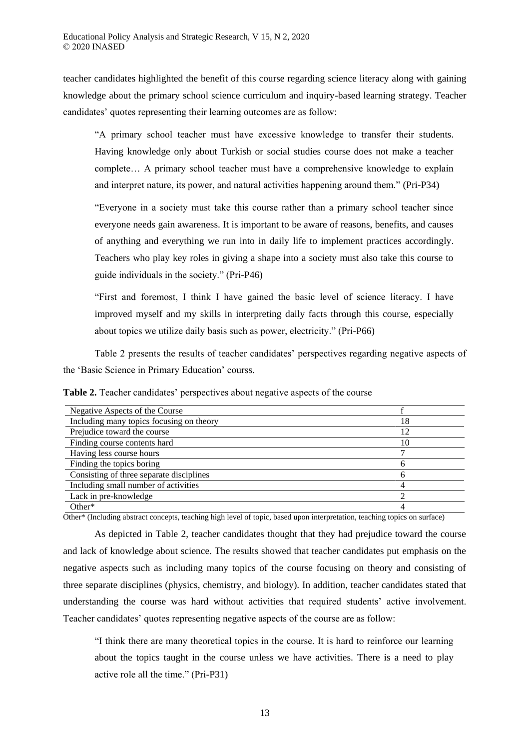teacher candidates highlighted the benefit of this course regarding science literacy along with gaining knowledge about the primary school science curriculum and inquiry-based learning strategy. Teacher candidates' quotes representing their learning outcomes are as follow:

"A primary school teacher must have excessive knowledge to transfer their students. Having knowledge only about Turkish or social studies course does not make a teacher complete… A primary school teacher must have a comprehensive knowledge to explain and interpret nature, its power, and natural activities happening around them." (Pri-P34)

"Everyone in a society must take this course rather than a primary school teacher since everyone needs gain awareness. It is important to be aware of reasons, benefits, and causes of anything and everything we run into in daily life to implement practices accordingly. Teachers who play key roles in giving a shape into a society must also take this course to guide individuals in the society." (Pri-P46)

"First and foremost, I think I have gained the basic level of science literacy. I have improved myself and my skills in interpreting daily facts through this course, especially about topics we utilize daily basis such as power, electricity." (Pri-P66)

Table 2 presents the results of teacher candidates' perspectives regarding negative aspects of the 'Basic Science in Primary Education' courss.

| Table 2. Teacher candidates' perspectives about negative aspects of the course |  |  |  |
|--------------------------------------------------------------------------------|--|--|--|
|--------------------------------------------------------------------------------|--|--|--|

| Negative Aspects of the Course           |    |
|------------------------------------------|----|
| Including many topics focusing on theory | 18 |
| Prejudice toward the course              | 12 |
| Finding course contents hard             | 10 |
| Having less course hours                 |    |
| Finding the topics boring                |    |
| Consisting of three separate disciplines |    |
| Including small number of activities     |    |
| Lack in pre-knowledge                    |    |
| Other $*$                                |    |

Other\* (Including abstract concepts, teaching high level of topic, based upon interpretation, teaching topics on surface)

As depicted in Table 2, teacher candidates thought that they had prejudice toward the course and lack of knowledge about science. The results showed that teacher candidates put emphasis on the negative aspects such as including many topics of the course focusing on theory and consisting of three separate disciplines (physics, chemistry, and biology). In addition, teacher candidates stated that understanding the course was hard without activities that required students' active involvement. Teacher candidates' quotes representing negative aspects of the course are as follow:

"I think there are many theoretical topics in the course. It is hard to reinforce our learning about the topics taught in the course unless we have activities. There is a need to play active role all the time." (Pri-P31)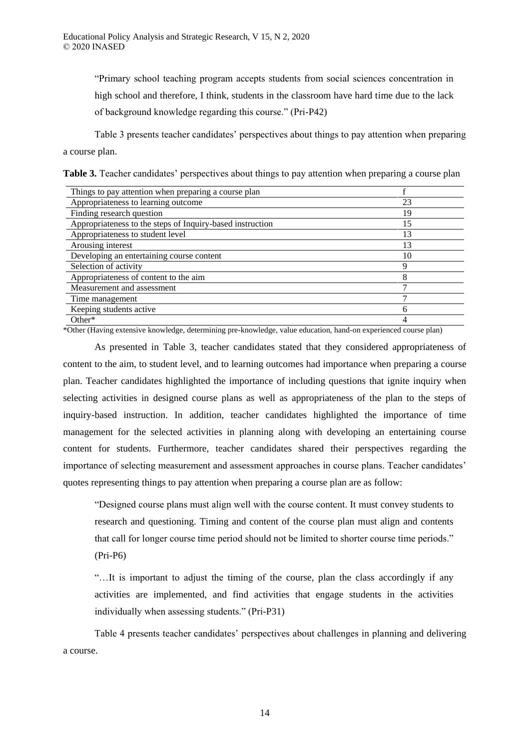"Primary school teaching program accepts students from social sciences concentration in high school and therefore, I think, students in the classroom have hard time due to the lack of background knowledge regarding this course." (Pri-P42)

Table 3 presents teacher candidates' perspectives about things to pay attention when preparing a course plan.

| Table 3. Teacher candidates' perspectives about things to pay attention when preparing a course plan |  |  |  |
|------------------------------------------------------------------------------------------------------|--|--|--|
|                                                                                                      |  |  |  |

| Things to pay attention when preparing a course plan      |    |
|-----------------------------------------------------------|----|
| Appropriateness to learning outcome                       | 23 |
| Finding research question                                 | 19 |
| Appropriateness to the steps of Inquiry-based instruction | 15 |
| Appropriateness to student level                          | 13 |
| Arousing interest                                         | 13 |
| Developing an entertaining course content                 | 10 |
| Selection of activity                                     | Q  |
| Appropriateness of content to the aim                     |    |
| Measurement and assessment                                |    |
| Time management                                           |    |
| Keeping students active                                   | 6  |
| $Other*$                                                  | 4  |

\*Other (Having extensive knowledge, determining pre-knowledge, value education, hand-on experienced course plan)

As presented in Table 3, teacher candidates stated that they considered appropriateness of content to the aim, to student level, and to learning outcomes had importance when preparing a course plan. Teacher candidates highlighted the importance of including questions that ignite inquiry when selecting activities in designed course plans as well as appropriateness of the plan to the steps of inquiry-based instruction. In addition, teacher candidates highlighted the importance of time management for the selected activities in planning along with developing an entertaining course content for students. Furthermore, teacher candidates shared their perspectives regarding the importance of selecting measurement and assessment approaches in course plans. Teacher candidates' quotes representing things to pay attention when preparing a course plan are as follow:

"Designed course plans must align well with the course content. It must convey students to research and questioning. Timing and content of the course plan must align and contents that call for longer course time period should not be limited to shorter course time periods." (Pri-P6)

"…It is important to adjust the timing of the course, plan the class accordingly if any activities are implemented, and find activities that engage students in the activities individually when assessing students." (Pri-P31)

Table 4 presents teacher candidates' perspectives about challenges in planning and delivering a course.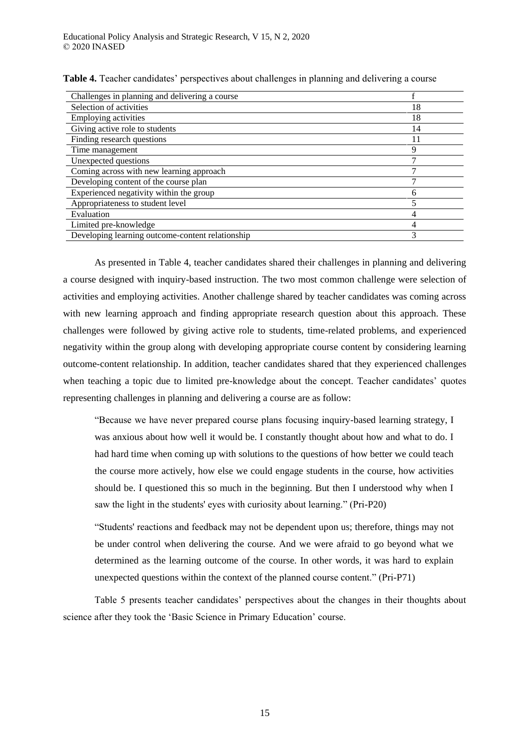| Challenges in planning and delivering a course   |    |
|--------------------------------------------------|----|
| Selection of activities                          | 18 |
| Employing activities                             | 18 |
| Giving active role to students                   | 14 |
| Finding research questions                       |    |
| Time management                                  | 9  |
| Unexpected questions                             |    |
| Coming across with new learning approach         |    |
| Developing content of the course plan            |    |
| Experienced negativity within the group          |    |
| Appropriateness to student level                 |    |
| Evaluation                                       |    |
| Limited pre-knowledge                            |    |
| Developing learning outcome-content relationship | 3  |

**Table 4.** Teacher candidates' perspectives about challenges in planning and delivering a course

As presented in Table 4, teacher candidates shared their challenges in planning and delivering a course designed with inquiry-based instruction. The two most common challenge were selection of activities and employing activities. Another challenge shared by teacher candidates was coming across with new learning approach and finding appropriate research question about this approach. These challenges were followed by giving active role to students, time-related problems, and experienced negativity within the group along with developing appropriate course content by considering learning outcome-content relationship. In addition, teacher candidates shared that they experienced challenges when teaching a topic due to limited pre-knowledge about the concept. Teacher candidates' quotes representing challenges in planning and delivering a course are as follow:

"Because we have never prepared course plans focusing inquiry-based learning strategy, I was anxious about how well it would be. I constantly thought about how and what to do. I had hard time when coming up with solutions to the questions of how better we could teach the course more actively, how else we could engage students in the course, how activities should be. I questioned this so much in the beginning. But then I understood why when I saw the light in the students' eyes with curiosity about learning." (Pri-P20)

"Students' reactions and feedback may not be dependent upon us; therefore, things may not be under control when delivering the course. And we were afraid to go beyond what we determined as the learning outcome of the course. In other words, it was hard to explain unexpected questions within the context of the planned course content." (Pri-P71)

Table 5 presents teacher candidates' perspectives about the changes in their thoughts about science after they took the 'Basic Science in Primary Education' course.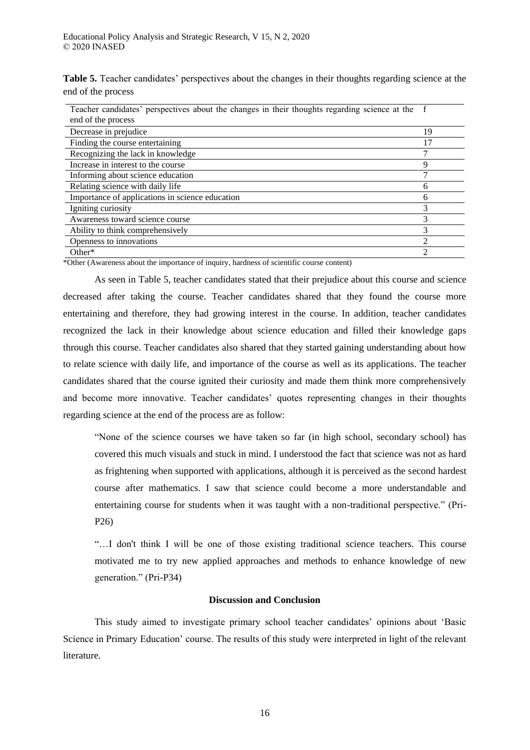**Table 5.** Teacher candidates' perspectives about the changes in their thoughts regarding science at the end of the process

| Teacher candidates' perspectives about the changes in their thoughts regarding science at the f<br>end of the process |    |
|-----------------------------------------------------------------------------------------------------------------------|----|
| Decrease in prejudice                                                                                                 | 19 |
| Finding the course entertaining                                                                                       | 17 |
| Recognizing the lack in knowledge                                                                                     |    |
| Increase in interest to the course                                                                                    | 9  |
| Informing about science education                                                                                     | ┑  |
| Relating science with daily life                                                                                      | 6  |
| Importance of applications in science education                                                                       | 6  |
| Igniting curiosity                                                                                                    | 3  |
| Awareness toward science course                                                                                       | 3  |
| Ability to think comprehensively                                                                                      |    |
| Openness to innovations                                                                                               | ↑  |
| Other $*$                                                                                                             | ↑  |

\*Other (Awareness about the importance of inquiry, hardness of scientific course content)

As seen in Table 5, teacher candidates stated that their prejudice about this course and science decreased after taking the course. Teacher candidates shared that they found the course more entertaining and therefore, they had growing interest in the course. In addition, teacher candidates recognized the lack in their knowledge about science education and filled their knowledge gaps through this course. Teacher candidates also shared that they started gaining understanding about how to relate science with daily life, and importance of the course as well as its applications. The teacher candidates shared that the course ignited their curiosity and made them think more comprehensively and become more innovative. Teacher candidates' quotes representing changes in their thoughts regarding science at the end of the process are as follow:

"None of the science courses we have taken so far (in high school, secondary school) has covered this much visuals and stuck in mind. I understood the fact that science was not as hard as frightening when supported with applications, although it is perceived as the second hardest course after mathematics. I saw that science could become a more understandable and entertaining course for students when it was taught with a non-traditional perspective." (Pri-P26)

"…I don't think I will be one of those existing traditional science teachers. This course motivated me to try new applied approaches and methods to enhance knowledge of new generation." (Pri-P34)

# **Discussion and Conclusion**

This study aimed to investigate primary school teacher candidates' opinions about 'Basic Science in Primary Education' course. The results of this study were interpreted in light of the relevant literature.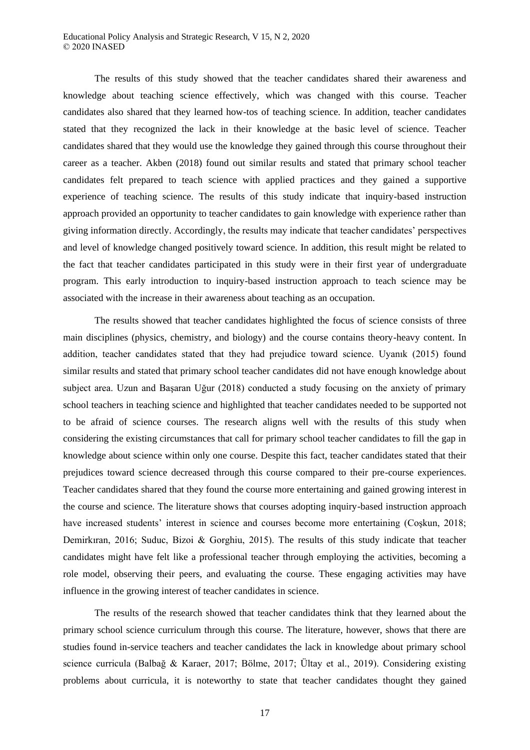#### Educational Policy Analysis and Strategic Research, V 15, N 2, 2020 © 2020 INASED

The results of this study showed that the teacher candidates shared their awareness and knowledge about teaching science effectively, which was changed with this course. Teacher candidates also shared that they learned how-tos of teaching science. In addition, teacher candidates stated that they recognized the lack in their knowledge at the basic level of science. Teacher candidates shared that they would use the knowledge they gained through this course throughout their career as a teacher. Akben (2018) found out similar results and stated that primary school teacher candidates felt prepared to teach science with applied practices and they gained a supportive experience of teaching science. The results of this study indicate that inquiry-based instruction approach provided an opportunity to teacher candidates to gain knowledge with experience rather than giving information directly. Accordingly, the results may indicate that teacher candidates' perspectives and level of knowledge changed positively toward science. In addition, this result might be related to the fact that teacher candidates participated in this study were in their first year of undergraduate program. This early introduction to inquiry-based instruction approach to teach science may be associated with the increase in their awareness about teaching as an occupation.

The results showed that teacher candidates highlighted the focus of science consists of three main disciplines (physics, chemistry, and biology) and the course contains theory-heavy content. In addition, teacher candidates stated that they had prejudice toward science. Uyanık (2015) found similar results and stated that primary school teacher candidates did not have enough knowledge about subject area. Uzun and Başaran Uğur (2018) conducted a study focusing on the anxiety of primary school teachers in teaching science and highlighted that teacher candidates needed to be supported not to be afraid of science courses. The research aligns well with the results of this study when considering the existing circumstances that call for primary school teacher candidates to fill the gap in knowledge about science within only one course. Despite this fact, teacher candidates stated that their prejudices toward science decreased through this course compared to their pre-course experiences. Teacher candidates shared that they found the course more entertaining and gained growing interest in the course and science. The literature shows that courses adopting inquiry-based instruction approach have increased students' interest in science and courses become more entertaining (Coskun, 2018; Demirkıran, 2016; Suduc, Bizoi & Gorghiu, 2015). The results of this study indicate that teacher candidates might have felt like a professional teacher through employing the activities, becoming a role model, observing their peers, and evaluating the course. These engaging activities may have influence in the growing interest of teacher candidates in science.

The results of the research showed that teacher candidates think that they learned about the primary school science curriculum through this course. The literature, however, shows that there are studies found in-service teachers and teacher candidates the lack in knowledge about primary school science curricula (Balbağ & Karaer, 2017; Bölme, 2017; Ültay et al., 2019). Considering existing problems about curricula, it is noteworthy to state that teacher candidates thought they gained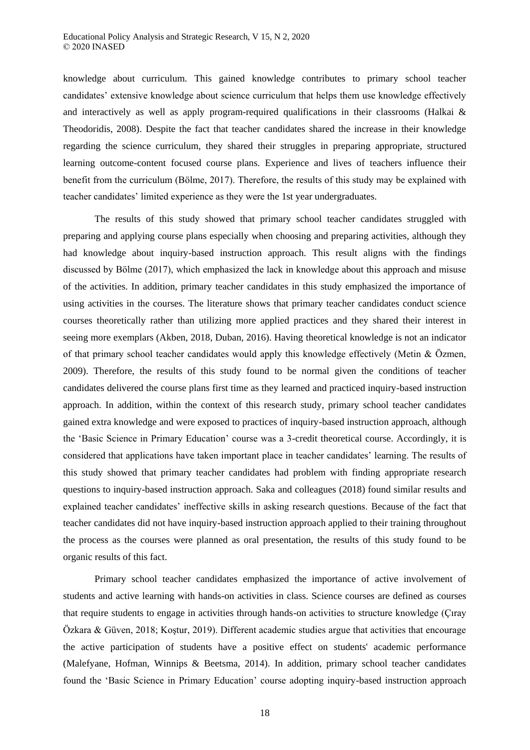knowledge about curriculum. This gained knowledge contributes to primary school teacher candidates' extensive knowledge about science curriculum that helps them use knowledge effectively and interactively as well as apply program-required qualifications in their classrooms (Halkai & Theodoridis, 2008). Despite the fact that teacher candidates shared the increase in their knowledge regarding the science curriculum, they shared their struggles in preparing appropriate, structured learning outcome-content focused course plans. Experience and lives of teachers influence their benefit from the curriculum (Bölme, 2017). Therefore, the results of this study may be explained with teacher candidates' limited experience as they were the 1st year undergraduates.

The results of this study showed that primary school teacher candidates struggled with preparing and applying course plans especially when choosing and preparing activities, although they had knowledge about inquiry-based instruction approach. This result aligns with the findings discussed by Bölme (2017), which emphasized the lack in knowledge about this approach and misuse of the activities. In addition, primary teacher candidates in this study emphasized the importance of using activities in the courses. The literature shows that primary teacher candidates conduct science courses theoretically rather than utilizing more applied practices and they shared their interest in seeing more exemplars (Akben, 2018, Duban, 2016). Having theoretical knowledge is not an indicator of that primary school teacher candidates would apply this knowledge effectively (Metin & Özmen, 2009). Therefore, the results of this study found to be normal given the conditions of teacher candidates delivered the course plans first time as they learned and practiced inquiry-based instruction approach. In addition, within the context of this research study, primary school teacher candidates gained extra knowledge and were exposed to practices of inquiry-based instruction approach, although the 'Basic Science in Primary Education' course was a 3-credit theoretical course. Accordingly, it is considered that applications have taken important place in teacher candidates' learning. The results of this study showed that primary teacher candidates had problem with finding appropriate research questions to inquiry-based instruction approach. Saka and colleagues (2018) found similar results and explained teacher candidates' ineffective skills in asking research questions. Because of the fact that teacher candidates did not have inquiry-based instruction approach applied to their training throughout the process as the courses were planned as oral presentation, the results of this study found to be organic results of this fact.

Primary school teacher candidates emphasized the importance of active involvement of students and active learning with hands-on activities in class. Science courses are defined as courses that require students to engage in activities through hands-on activities to structure knowledge (Çıray Özkara & Güven, 2018; Koştur, 2019). Different academic studies argue that activities that encourage the active participation of students have a positive effect on students' academic performance (Malefyane, Hofman, Winnips & Beetsma, 2014). In addition, primary school teacher candidates found the 'Basic Science in Primary Education' course adopting inquiry-based instruction approach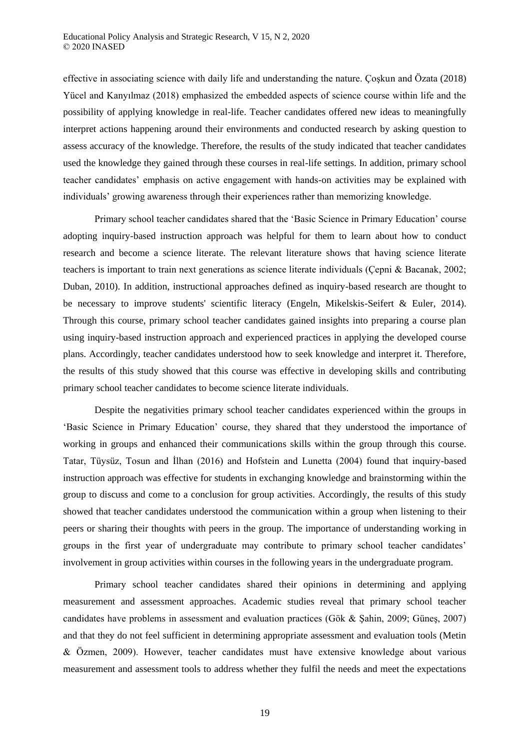effective in associating science with daily life and understanding the nature. Çoşkun and Özata (2018) Yücel and Kanyılmaz (2018) emphasized the embedded aspects of science course within life and the possibility of applying knowledge in real-life. Teacher candidates offered new ideas to meaningfully interpret actions happening around their environments and conducted research by asking question to assess accuracy of the knowledge. Therefore, the results of the study indicated that teacher candidates used the knowledge they gained through these courses in real-life settings. In addition, primary school teacher candidates' emphasis on active engagement with hands-on activities may be explained with individuals' growing awareness through their experiences rather than memorizing knowledge.

Primary school teacher candidates shared that the 'Basic Science in Primary Education' course adopting inquiry-based instruction approach was helpful for them to learn about how to conduct research and become a science literate. The relevant literature shows that having science literate teachers is important to train next generations as science literate individuals (Çepni & Bacanak, 2002; Duban, 2010). In addition, instructional approaches defined as inquiry-based research are thought to be necessary to improve students' scientific literacy (Engeln, Mikelskis-Seifert & Euler, 2014). Through this course, primary school teacher candidates gained insights into preparing a course plan using inquiry-based instruction approach and experienced practices in applying the developed course plans. Accordingly, teacher candidates understood how to seek knowledge and interpret it. Therefore, the results of this study showed that this course was effective in developing skills and contributing primary school teacher candidates to become science literate individuals.

Despite the negativities primary school teacher candidates experienced within the groups in 'Basic Science in Primary Education' course, they shared that they understood the importance of working in groups and enhanced their communications skills within the group through this course. Tatar, Tüysüz, Tosun and İlhan (2016) and Hofstein and Lunetta (2004) found that inquiry-based instruction approach was effective for students in exchanging knowledge and brainstorming within the group to discuss and come to a conclusion for group activities. Accordingly, the results of this study showed that teacher candidates understood the communication within a group when listening to their peers or sharing their thoughts with peers in the group. The importance of understanding working in groups in the first year of undergraduate may contribute to primary school teacher candidates' involvement in group activities within courses in the following years in the undergraduate program.

Primary school teacher candidates shared their opinions in determining and applying measurement and assessment approaches. Academic studies reveal that primary school teacher candidates have problems in assessment and evaluation practices (Gök & Şahin, 2009; Güneş, 2007) and that they do not feel sufficient in determining appropriate assessment and evaluation tools (Metin & Özmen, 2009). However, teacher candidates must have extensive knowledge about various measurement and assessment tools to address whether they fulfil the needs and meet the expectations

19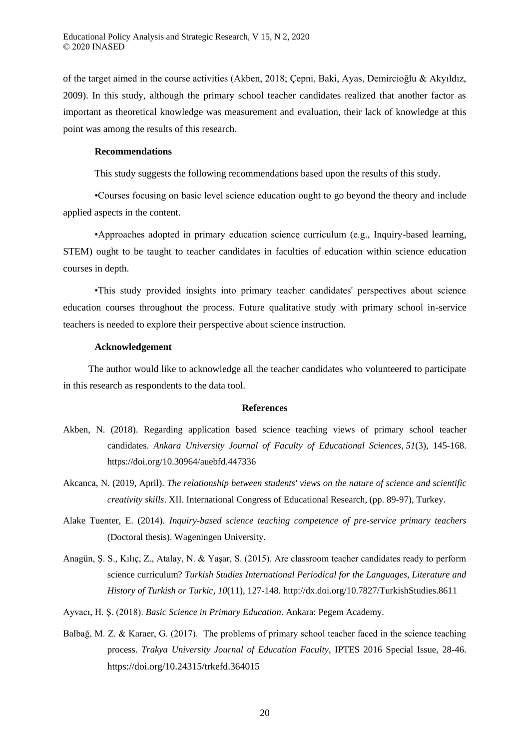of the target aimed in the course activities (Akben, 2018; Çepni, Baki, Ayas, Demircioğlu & Akyıldız, 2009). In this study, although the primary school teacher candidates realized that another factor as important as theoretical knowledge was measurement and evaluation, their lack of knowledge at this point was among the results of this research.

## **Recommendations**

This study suggests the following recommendations based upon the results of this study.

•Courses focusing on basic level science education ought to go beyond the theory and include applied aspects in the content.

•Approaches adopted in primary education science curriculum (e.g., Inquiry-based learning, STEM) ought to be taught to teacher candidates in faculties of education within science education courses in depth.

•This study provided insights into primary teacher candidates' perspectives about science education courses throughout the process. Future qualitative study with primary school in-service teachers is needed to explore their perspective about science instruction.

#### **Acknowledgement**

The author would like to acknowledge all the teacher candidates who volunteered to participate in this research as respondents to the data tool.

# **References**

- Akben, N. (2018). Regarding application based science teaching views of primary school teacher candidates. *Ankara University Journal of Faculty of Educational Sciences*, *51*(3), 145-168. https://doi.org/10.30964/auebfd.447336
- Akcanca, N. (2019, April). *The relationship between students' views on the nature of science and scientific creativity skills*. XII. International Congress of Educational Research, (pp. 89-97), Turkey.
- Alake Tuenter, E. (2014). *Inquiry-based science teaching competence of pre-service primary teachers*  (Doctoral thesis). Wageningen University.
- Anagün, Ş. S., Kılıç, Z., Atalay, N. & Yaşar, S. (2015). Are classroom teacher candidates ready to perform science curriculum? *Turkish Studies International Periodical for the Languages, Literature and History of Turkish or Turkic, 10*(11), 127-148. http://dx.doi.org/10.7827/TurkishStudies.8611
- Ayvacı, H. Ş. (2018). *Basic Science in Primary Education*. Ankara: Pegem Academy.
- Balbağ, M. Z. & Karaer, G. (2017). The problems of primary school teacher faced in the science teaching process. *Trakya University Journal of Education Faculty*, IPTES 2016 Special Issue, 28-46. https://doi.org/10.24315/trkefd.364015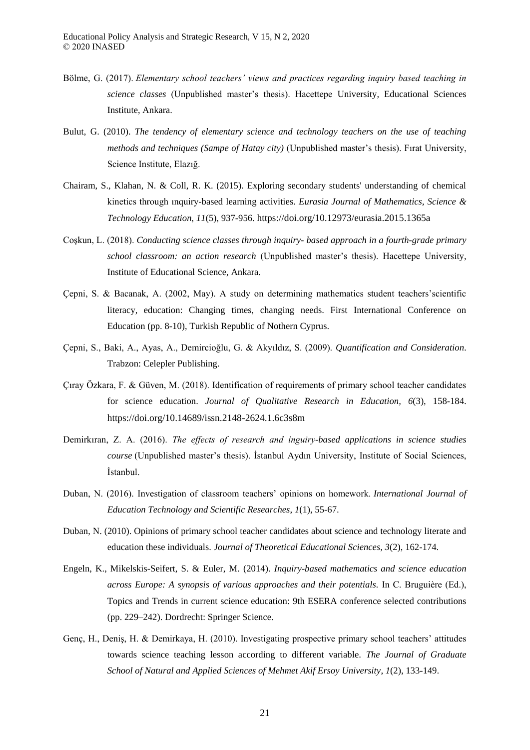- Bölme, G. (2017). *Elementary school teachers' views and practices regarding inquiry based teaching in science classes* (Unpublished master's thesis). Hacettepe University, Educational Sciences Institute, Ankara.
- Bulut, G. (2010). *The tendency of elementary science and technology teachers on the use of teaching methods and techniques (Sampe of Hatay city)* (Unpublished master's thesis). Fırat University, Science Institute, Elazığ.
- Chairam, S., Klahan, N. & Coll, R. K. (2015). Exploring secondary students' understanding of chemical kinetics through ınquiry-based learning activities. *Eurasia Journal of Mathematics, Science & Technology Education*, *11*(5), 937-956. https://doi.org/10.12973/eurasia.2015.1365a
- Coşkun, L. (2018). *Conducting science classes through inquiry- based approach in a fourth-grade primary school classroom: an action research* (Unpublished master's thesis). Hacettepe University, Institute of Educational Science, Ankara.
- Çepni, S. & Bacanak, A. (2002, May). A study on determining mathematics student teachers'scientific literacy, education: Changing times, changing needs. First International Conference on Education (pp. 8-10), Turkish Republic of Nothern Cyprus.
- Çepni, S., Baki, A., Ayas, A., Demircioğlu, G. & Akyıldız, S. (2009). *Quantification and Consideration*. Trabzon: Celepler Publishing.
- Çıray Özkara, F. & Güven, M. (2018). Identification of requirements of primary school teacher candidates for science education. *Journal of Qualitative Research in Education, 6*(3), 158-184. https://doi.org/10.14689/issn.2148-2624.1.6c3s8m
- Demirkiran, Z. A. (2016). *The effects of research and inguiry-based applications in science studies course* (Unpublished master's thesis). İstanbul Aydın University, Institute of Social Sciences, İstanbul.
- Duban, N. (2016). Investigation of classroom teachers' opinions on homework. *International Journal of Education Technology and Scientific Researches*, *1*(1), 55-67.
- Duban, N. (2010). Opinions of primary school teacher candidates about science and technology literate and education these individuals. *Journal of Theoretical Educational Sciences, 3*(2), 162-174.
- Engeln, K., Mikelskis-Seifert, S. & Euler, M. (2014). *Inquiry-based mathematics and science education across Europe: A synopsis of various approaches and their potentials.* In C. Bruguière (Ed.), Topics and Trends in current science education: 9th ESERA conference selected contributions (pp. 229–242). Dordrecht: Springer Science.
- Genç, H., Deniş, H. & Demirkaya, H. (2010). Investigating prospective primary school teachers' attitudes towards science teaching lesson according to different variable. *The Journal of Graduate School of Natural and Applied Sciences of Mehmet Akif Ersoy University*, *1*(2), 133-149.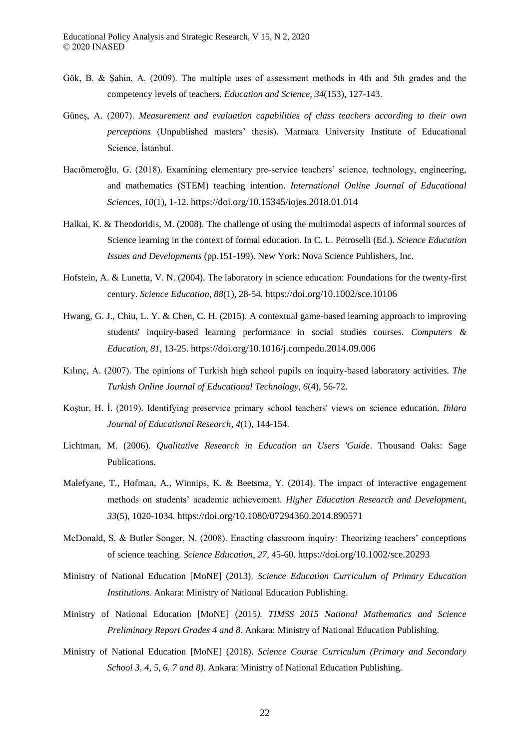- Gök, B. & Şahin, A. (2009). The multiple uses of assessment methods in 4th and 5th grades and the competency levels of teachers. *Education and Science, 34*(153), 127-143.
- Güneş, A. (2007). *Measurement and evaluation capabilities of class teachers according to their own perceptions* (Unpublished masters' thesis). Marmara University Institute of Educational Science, İstanbul.
- Hacıömeroğlu, G. (2018). Examining elementary pre-service teachers' science, technology, engineering, and mathematics (STEM) teaching intention. *International Online Journal of Educational Sciences*, *10*(1), 1-12. https://doi.org/10.15345/iojes.2018.01.014
- Halkai, K. & Theodoridis, M. (2008). The challenge of using the multimodal aspects of informal sources of Science learning in the context of formal education. In C. L. Petroselli (Ed.). *Science Education Issues and Developments* (pp.151-199). New York: Nova Science Publishers, Inc.
- Hofstein, A. & Lunetta, V. N. (2004). The laboratory in science education: Foundations for the twenty-first century. *Science Education*, *88*(1), 28-54. https://doi.org/10.1002/sce.10106
- Hwang, G. J., Chiu, L. Y. & Chen, C. H. (2015). A contextual game-based learning approach to improving students' inquiry-based learning performance in social studies courses. *Computers & Education*, *81*, 13-25. https://doi.org/10.1016/j.compedu.2014.09.006
- Kılınç, A. (2007). The opinions of Turkish high school pupils on inquiry-based laboratory activities. *The Turkish Online Journal of Educational Technology, 6*(4), 56-72.
- Koştur, H. İ. (2019). Identifying preservice primary school teachers' views on science education. *Ihlara Journal of Educational Research*, *4*(1), 144-154.
- Lichtman, M. (2006). *Qualitative Research in Education an Users 'Guide*. Thousand Oaks: Sage Publications.
- Malefyane, T., Hofman, A., Winnips, K. & Beetsma, Y. (2014). The impact of interactive engagement methods on students' academic achievement. *Higher Education Research and Development, 33*(5), 1020-1034. https://doi.org/10.1080/07294360.2014.890571
- McDonald, S. & Butler Songer, N. (2008). Enacting classroom inquiry: Theorizing teachers' conceptions of science teaching. *Science Education*, *27*, 45-60. https://doi.org/10.1002/sce.20293
- Ministry of National Education [MoNE] (2013). *Science Education Curriculum of Primary Education Institutions.* Ankara: Ministry of National Education Publishing.
- Ministry of National Education [MoNE] (2015*). TIMSS 2015 National Mathematics and Science Preliminary Report Grades 4 and 8.* Ankara: Ministry of National Education Publishing.
- Ministry of National Education [MoNE] (2018). *Science Course Curriculum (Primary and Secondary School 3, 4, 5, 6, 7 and 8)*. Ankara: Ministry of National Education Publishing.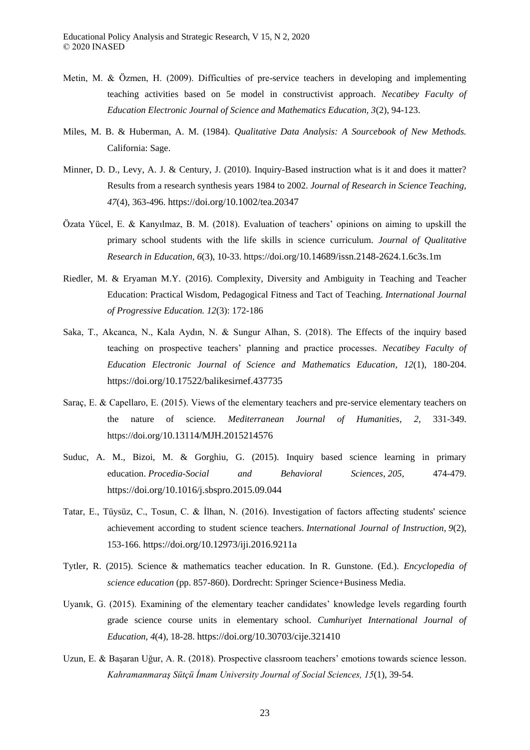- Metin, M. & Özmen, H. (2009). Difficulties of pre-service teachers in developing and implementing teaching activities based on 5e model in constructivist approach. *Necatibey Faculty of Education Electronic Journal of Science and Mathematics Education, 3*(2), 94-123.
- Miles, M. B. & Huberman, A. M. (1984). *Qualitative Data Analysis: A Sourcebook of New Methods.* California: Sage.
- Minner, D. D., Levy, A. J. & Century, J. (2010). Inquiry-Based instruction what is it and does it matter? Results from a research synthesis years 1984 to 2002. *Journal of Research in Science Teaching, 47*(4), 363-496. https://doi.org/10.1002/tea.20347
- Özata Yücel, E. & Kanyılmaz, B. M. (2018). Evaluation of teachers' opinions on aiming to upskill the primary school students with the life skills in science curriculum. *Journal of Qualitative Research in Education, 6*(3), 10-33. https://doi.org/10.14689/issn.2148-2624.1.6c3s.1m
- Riedler, M. & Eryaman M.Y. (2016). Complexity, Diversity and Ambiguity in Teaching and Teacher Education: Practical Wisdom, Pedagogical Fitness and Tact of Teaching. *International Journal of Progressive Education. 12*(3): 172-186
- Saka, T., Akcanca, N., Kala Aydın, N. & Sungur Alhan, S. (2018). The Effects of the inquiry based teaching on prospective teachers' planning and practice processes. *Necatibey Faculty of Education Electronic Journal of Science and Mathematics Education*, *12*(1), 180-204. https://doi.org/10.17522/balikesirnef.437735
- Saraç, E. & Capellaro, E. (2015). Views of the elementary teachers and pre-service elementary teachers on the nature of science. *Mediterranean Journal of Humanities, 2*, 331-349. https://doi.org/10.13114/MJH.2015214576
- Suduc, A. M., Bizoi, M. & Gorghiu, G. (2015). Inquiry based science learning in primary education. *Procedia-Social and Behavioral Sciences*, *205*, 474-479. https://doi.org/10.1016/j.sbspro.2015.09.044
- Tatar, E., Tüysüz, C., Tosun, C. & İlhan, N. (2016). Investigation of factors affecting students' science achievement according to student science teachers. *International Journal of Instruction*, *9*(2), 153-166. https://doi.org/10.12973/iji.2016.9211a
- Tytler, R. (2015). Science & mathematics teacher education. In R. Gunstone. (Ed.). *Encyclopedia of science education* (pp. 857-860). Dordrecht: Springer Science+Business Media.
- Uyanık, G. (2015). Examining of the elementary teacher candidates' knowledge levels regarding fourth grade science course units in elementary school. *Cumhuriyet International Journal of Education, 4*(4), 18-28. https://doi.org/10.30703/cije.321410
- Uzun, E. & Başaran Uğur, A. R. (2018). Prospective classroom teachers' emotions towards science lesson. Kahramanmaraş Sütçü İmam University Journal of Social Sciences, 15(1), 39-54.